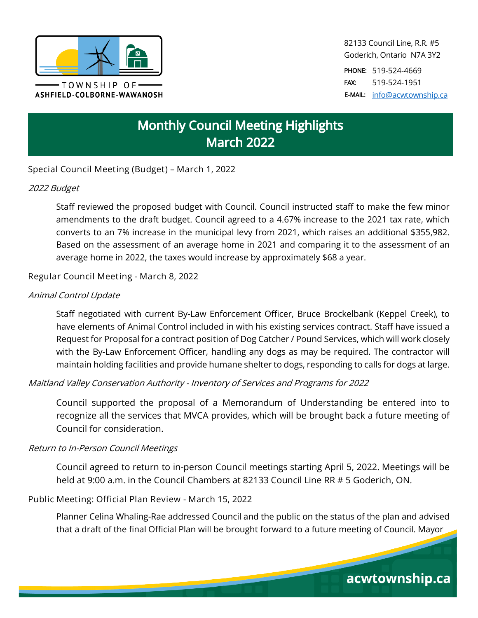

82133 Council Line, R.R. #5 Goderich, Ontario N7A 3Y2

PHONE: 519-524-4669 FAX: 519-524-1951 E-MAIL: [info@acwtownship.ca](mailto:info@acwtownship.ca)

acwtownship.ca

# **Monthly Council Meeting Highlights March 2022**

**Special Council Meeting (Budget) – March 1, 2022**

# 2022 Budget

Staff reviewed the proposed budget with Council. Council instructed staff to make the few minor amendments to the draft budget. Council agreed to a 4.67% increase to the 2021 tax rate, which converts to an 7% increase in the municipal levy from 2021, which raises an additional \$355,982. Based on the assessment of an average home in 2021 and comparing it to the assessment of an average home in 2022, the taxes would increase by approximately \$68 a year.

**Regular Council Meeting - March 8, 2022**

# Animal Control Update

Staff negotiated with current By-Law Enforcement Officer, Bruce Brockelbank (Keppel Creek), to have elements of Animal Control included in with his existing services contract. Staff have issued a Request for Proposal for a contract position of Dog Catcher / Pound Services, which will work closely with the By-Law Enforcement Officer, handling any dogs as may be required. The contractor will maintain holding facilities and provide humane shelter to dogs, responding to calls for dogs at large.

Maitland Valley Conservation Authority - Inventory of Services and Programs for 2022

Council supported the proposal of a Memorandum of Understanding be entered into to recognize all the services that MVCA provides, which will be brought back a future meeting of Council for consideration.

#### Return to In-Person Council Meetings

Council agreed to return to in-person Council meetings starting April 5, 2022. Meetings will be held at 9:00 a.m. in the Council Chambers at 82133 Council Line RR # 5 Goderich, ON.

**Public Meeting: Official Plan Review - March 15, 2022**

Planner Celina Whaling-Rae addressed Council and the public on the status of the plan and advised that a draft of the final Official Plan will be brought forward to a future meeting of Council. Mayor